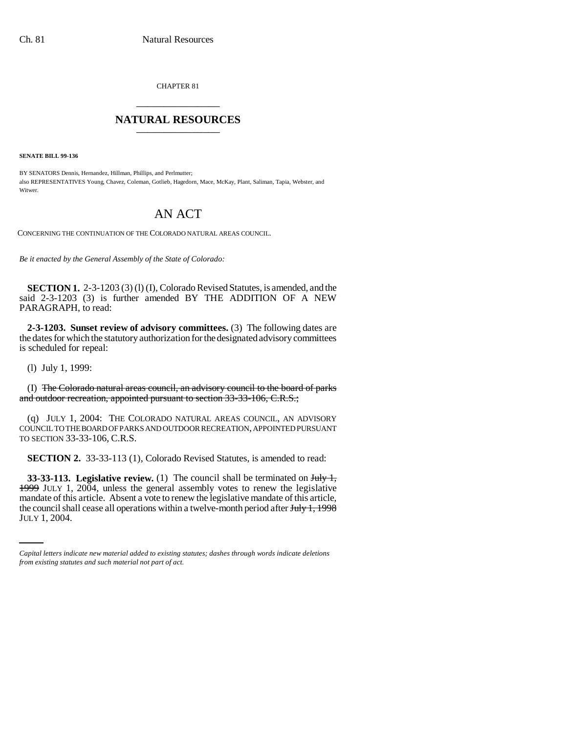CHAPTER 81 \_\_\_\_\_\_\_\_\_\_\_\_\_\_\_

## **NATURAL RESOURCES** \_\_\_\_\_\_\_\_\_\_\_\_\_\_\_

**SENATE BILL 99-136** 

BY SENATORS Dennis, Hernandez, Hillman, Phillips, and Perlmutter; also REPRESENTATIVES Young, Chavez, Coleman, Gotlieb, Hagedorn, Mace, McKay, Plant, Saliman, Tapia, Webster, and Witwer.

## AN ACT

CONCERNING THE CONTINUATION OF THE COLORADO NATURAL AREAS COUNCIL.

*Be it enacted by the General Assembly of the State of Colorado:*

**SECTION 1.** 2-3-1203 (3) (1) (I), Colorado Revised Statutes, is amended, and the said 2-3-1203 (3) is further amended BY THE ADDITION OF A NEW PARAGRAPH, to read:

**2-3-1203. Sunset review of advisory committees.** (3) The following dates are the dates for which the statutory authorization for the designated advisory committees is scheduled for repeal:

(l) July 1, 1999:

(I) The Colorado natural areas council, an advisory council to the board of parks and outdoor recreation, appointed pursuant to section 33-33-106, C.R.S.;

(q) JULY 1, 2004: THE COLORADO NATURAL AREAS COUNCIL, AN ADVISORY COUNCIL TO THE BOARD OF PARKS AND OUTDOOR RECREATION, APPOINTED PURSUANT TO SECTION 33-33-106, C.R.S.

**SECTION 2.** 33-33-113 (1), Colorado Revised Statutes, is amended to read:

mandate of this article. Absent a vote to renew the legislative mandate of this article, **33-33-113. Legislative review.** (1) The council shall be terminated on  $\frac{\text{Hd}y}{\text{Hd}y}$ 1999 JULY 1, 2004, unless the general assembly votes to renew the legislative the council shall cease all operations within a twelve-month period after July 1, 1998 JULY 1, 2004.

*Capital letters indicate new material added to existing statutes; dashes through words indicate deletions from existing statutes and such material not part of act.*